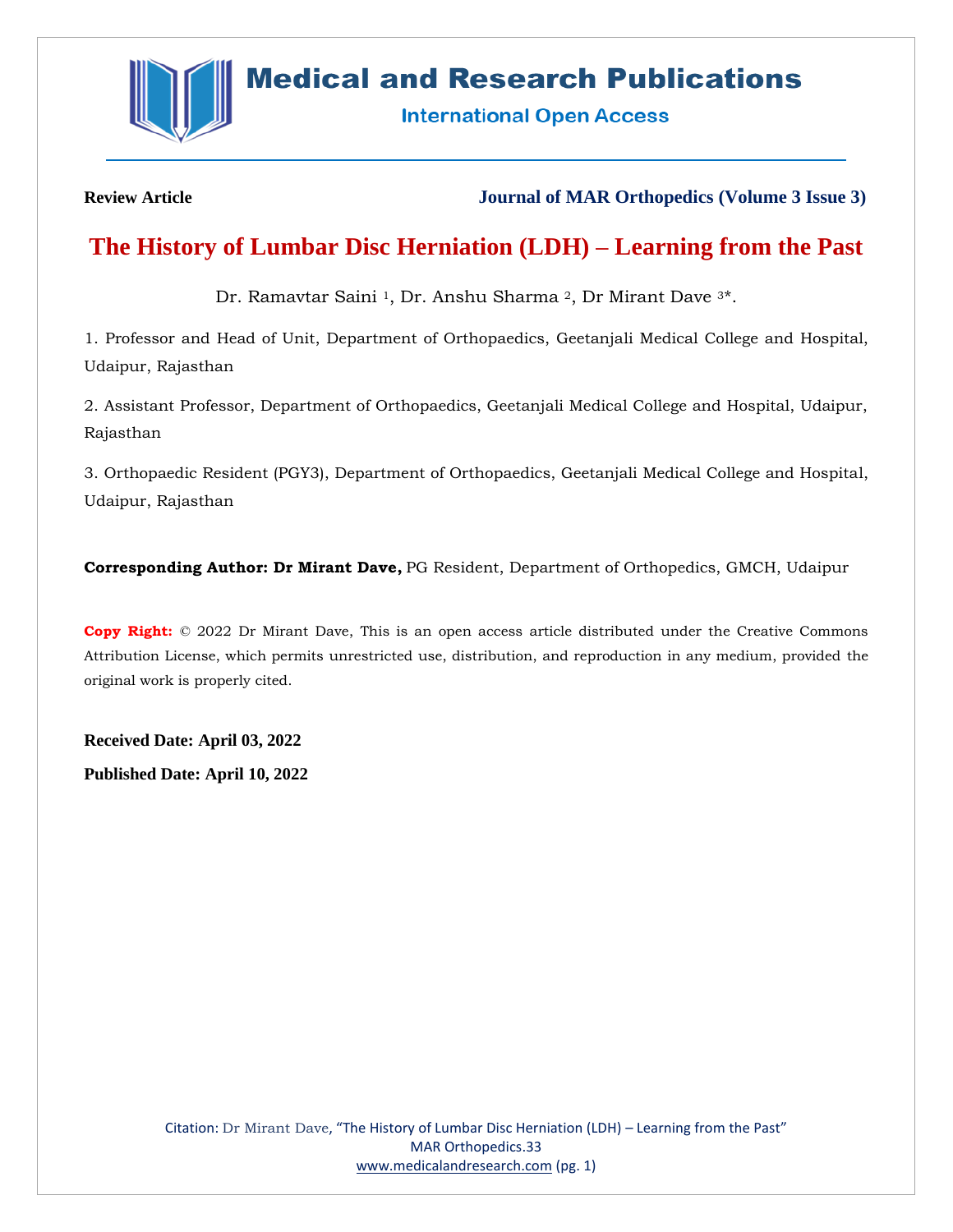

# **Medical and Research Publications**

**International Open Access** 

**Review Article Journal of MAR Orthopedics (Volume 3 Issue 3)**

# **The History of Lumbar Disc Herniation (LDH) – Learning from the Past**

Dr. Ramavtar Saini <sup>1</sup>, Dr. Anshu Sharma <sup>2</sup>, Dr Mirant Dave <sup>3\*</sup>.

1. Professor and Head of Unit, Department of Orthopaedics, Geetanjali Medical College and Hospital, Udaipur, Rajasthan

2. Assistant Professor, Department of Orthopaedics, Geetanjali Medical College and Hospital, Udaipur, Rajasthan

3. Orthopaedic Resident (PGY3), Department of Orthopaedics, Geetanjali Medical College and Hospital, Udaipur, Rajasthan

**Corresponding Author: Dr Mirant Dave,** PG Resident, Department of Orthopedics, GMCH, Udaipur

**Copy Right:** © 2022 Dr Mirant Dave, This is an open access article distributed under the Creative Commons Attribution License, which permits unrestricted use, distribution, and reproduction in any medium, provided the original work is properly cited.

**Received Date: April 03, 2022**

**Published Date: April 10, 2022**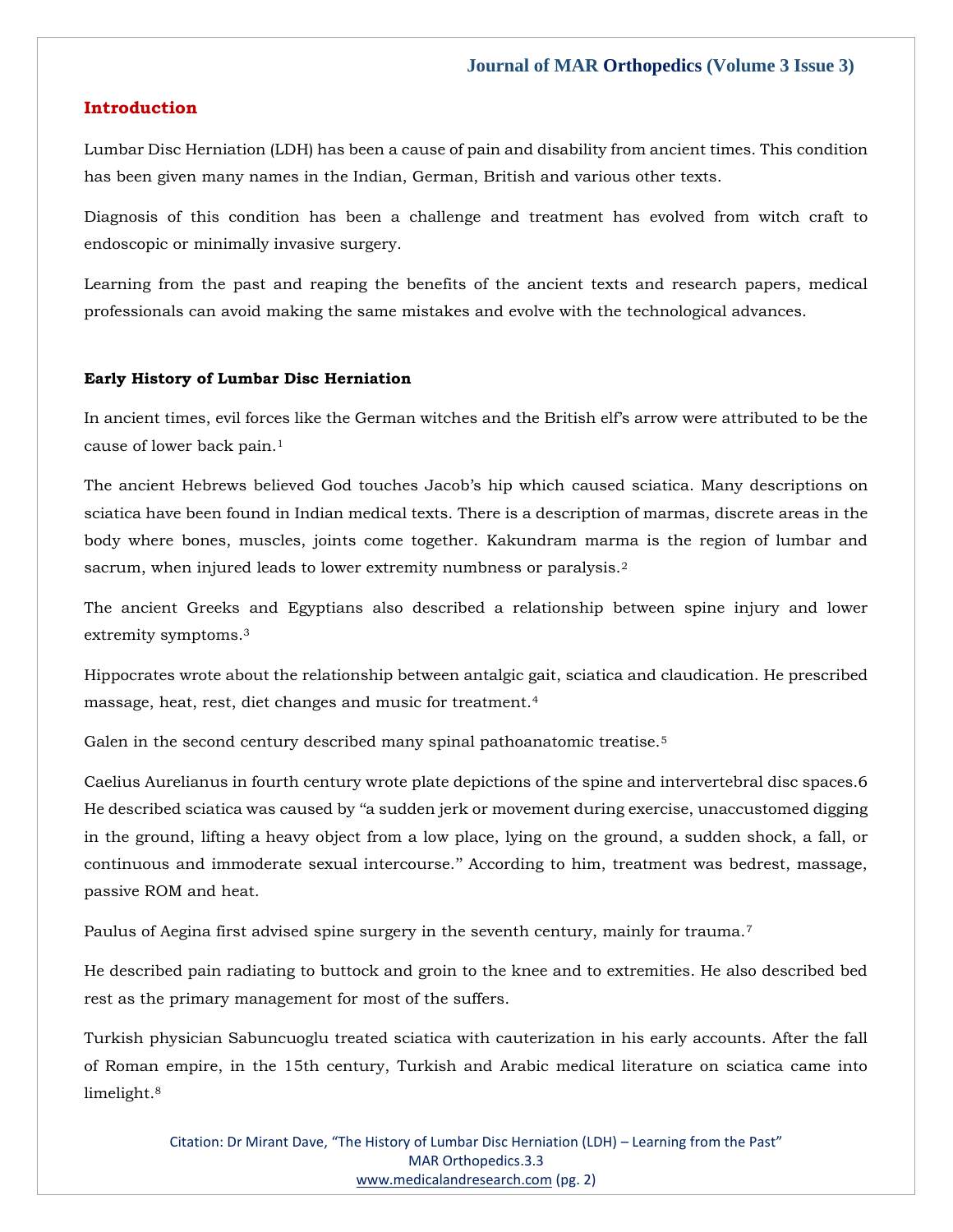#### **Introduction**

Lumbar Disc Herniation (LDH) has been a cause of pain and disability from ancient times. This condition has been given many names in the Indian, German, British and various other texts.

Diagnosis of this condition has been a challenge and treatment has evolved from witch craft to endoscopic or minimally invasive surgery.

Learning from the past and reaping the benefits of the ancient texts and research papers, medical professionals can avoid making the same mistakes and evolve with the technological advances.

#### **Early History of Lumbar Disc Herniation**

In ancient times, evil forces like the German witches and the British elf's arrow were attributed to be the cause of lower back pain.<sup>1</sup>

The ancient Hebrews believed God touches Jacob's hip which caused sciatica. Many descriptions on sciatica have been found in Indian medical texts. There is a description of marmas, discrete areas in the body where bones, muscles, joints come together. Kakundram marma is the region of lumbar and sacrum, when injured leads to lower extremity numbness or paralysis.<sup>2</sup>

The ancient Greeks and Egyptians also described a relationship between spine injury and lower extremity symptoms.<sup>3</sup>

Hippocrates wrote about the relationship between antalgic gait, sciatica and claudication. He prescribed massage, heat, rest, diet changes and music for treatment.<sup>4</sup>

Galen in the second century described many spinal pathoanatomic treatise.<sup>5</sup>

Caelius Aurelianus in fourth century wrote plate depictions of the spine and intervertebral disc spaces.6 He described sciatica was caused by ''a sudden jerk or movement during exercise, unaccustomed digging in the ground, lifting a heavy object from a low place, lying on the ground, a sudden shock, a fall, or continuous and immoderate sexual intercourse.'' According to him, treatment was bedrest, massage, passive ROM and heat.

Paulus of Aegina first advised spine surgery in the seventh century, mainly for trauma.<sup>7</sup>

He described pain radiating to buttock and groin to the knee and to extremities. He also described bed rest as the primary management for most of the suffers.

Turkish physician Sabuncuoglu treated sciatica with cauterization in his early accounts. After the fall of Roman empire, in the 15th century, Turkish and Arabic medical literature on sciatica came into limelight.8

> Citation: Dr Mirant Dave, "The History of Lumbar Disc Herniation (LDH) – Learning from the Past" MAR Orthopedics.3.3 [www.medicalandresearch.com](http://www.medicalandresearch.com/) (pg. 2)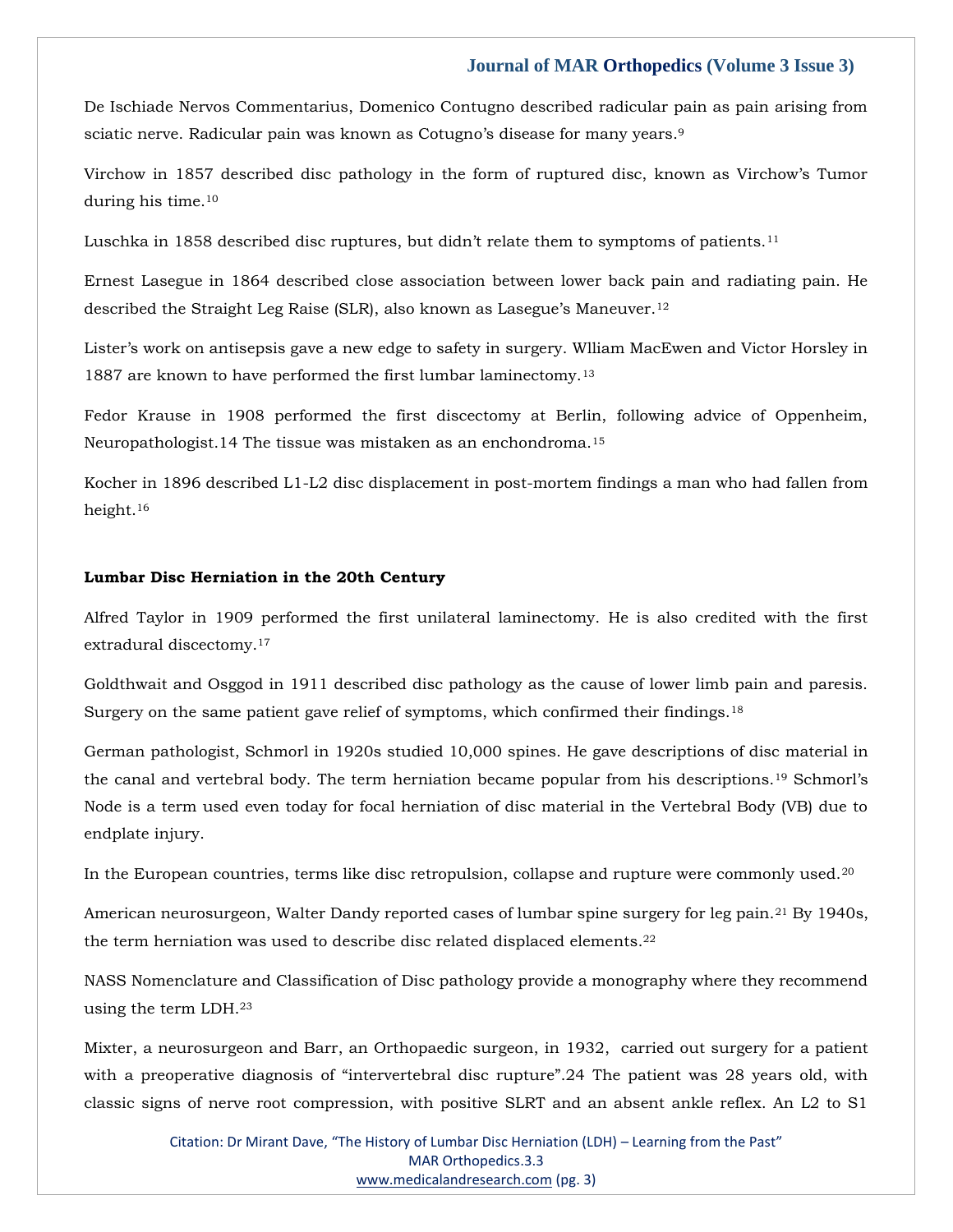De Ischiade Nervos Commentarius, Domenico Contugno described radicular pain as pain arising from sciatic nerve. Radicular pain was known as Cotugno's disease for many years.<sup>9</sup>

Virchow in 1857 described disc pathology in the form of ruptured disc, known as Virchow's Tumor during his time.<sup>10</sup>

Luschka in 1858 described disc ruptures, but didn't relate them to symptoms of patients.<sup>11</sup>

Ernest Lasegue in 1864 described close association between lower back pain and radiating pain. He described the Straight Leg Raise (SLR), also known as Lasegue's Maneuver.<sup>12</sup>

Lister's work on antisepsis gave a new edge to safety in surgery. Wlliam MacEwen and Victor Horsley in 1887 are known to have performed the first lumbar laminectomy.<sup>13</sup>

Fedor Krause in 1908 performed the first discectomy at Berlin, following advice of Oppenheim, Neuropathologist.14 The tissue was mistaken as an enchondroma.<sup>15</sup>

Kocher in 1896 described L1-L2 disc displacement in post-mortem findings a man who had fallen from height.<sup>16</sup>

#### **Lumbar Disc Herniation in the 20th Century**

Alfred Taylor in 1909 performed the first unilateral laminectomy. He is also credited with the first extradural discectomy.<sup>17</sup>

Goldthwait and Osggod in 1911 described disc pathology as the cause of lower limb pain and paresis. Surgery on the same patient gave relief of symptoms, which confirmed their findings.<sup>18</sup>

German pathologist, Schmorl in 1920s studied 10,000 spines. He gave descriptions of disc material in the canal and vertebral body. The term herniation became popular from his descriptions.<sup>19</sup> Schmorl's Node is a term used even today for focal herniation of disc material in the Vertebral Body (VB) due to endplate injury.

In the European countries, terms like disc retropulsion, collapse and rupture were commonly used.<sup>20</sup>

American neurosurgeon, Walter Dandy reported cases of lumbar spine surgery for leg pain.<sup>21</sup> By 1940s, the term herniation was used to describe disc related displaced elements.<sup>22</sup>

NASS Nomenclature and Classification of Disc pathology provide a monography where they recommend using the term LDH.<sup>23</sup>

Mixter, a neurosurgeon and Barr, an Orthopaedic surgeon, in 1932, carried out surgery for a patient with a preoperative diagnosis of "intervertebral disc rupture".24 The patient was 28 years old, with classic signs of nerve root compression, with positive SLRT and an absent ankle reflex. An L2 to S1

> Citation: Dr Mirant Dave, "The History of Lumbar Disc Herniation (LDH) – Learning from the Past" MAR Orthopedics.3.3 [www.medicalandresearch.com](http://www.medicalandresearch.com/) (pg. 3)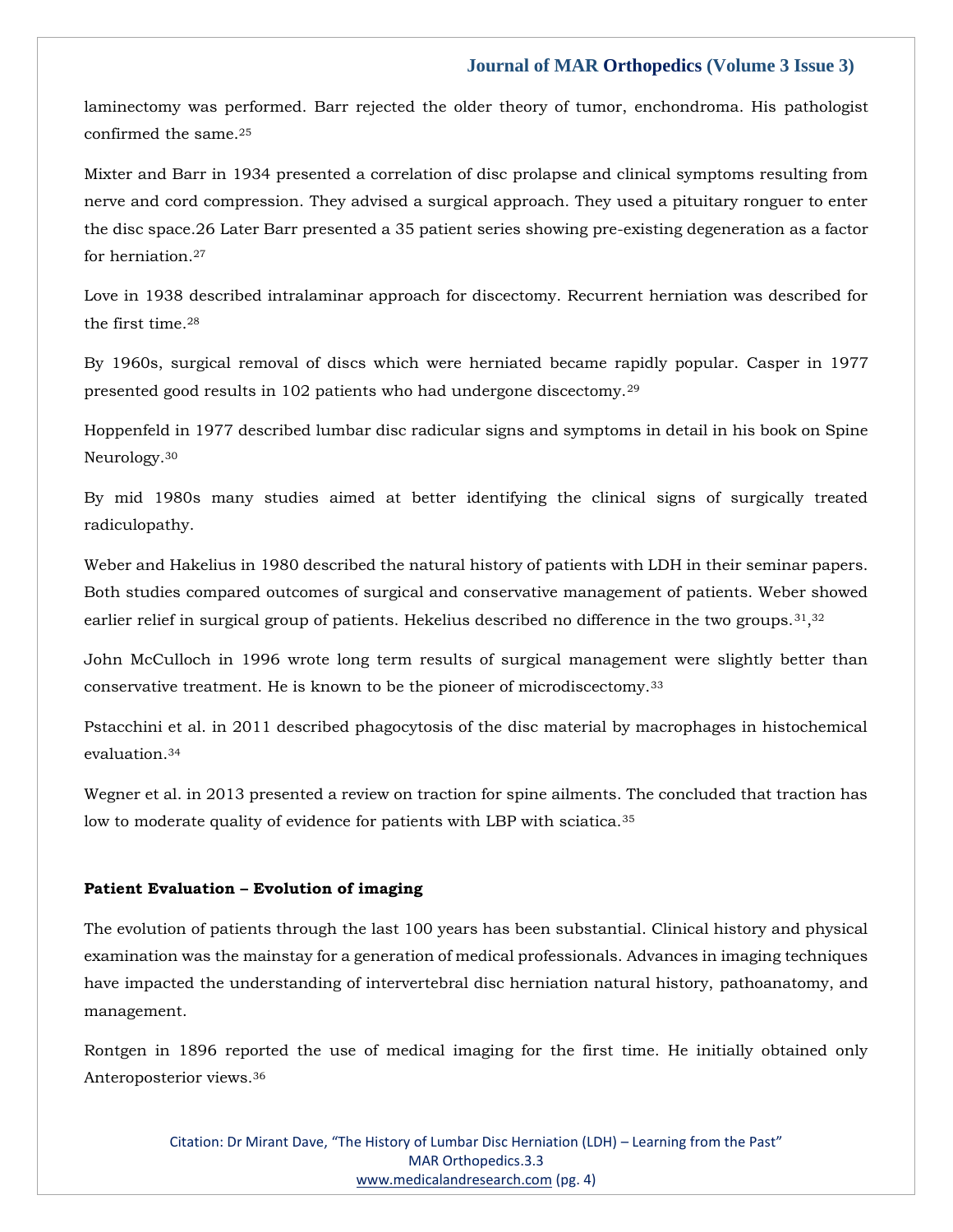laminectomy was performed. Barr rejected the older theory of tumor, enchondroma. His pathologist confirmed the same.<sup>25</sup>

Mixter and Barr in 1934 presented a correlation of disc prolapse and clinical symptoms resulting from nerve and cord compression. They advised a surgical approach. They used a pituitary ronguer to enter the disc space.26 Later Barr presented a 35 patient series showing pre-existing degeneration as a factor for herniation.<sup>27</sup>

Love in 1938 described intralaminar approach for discectomy. Recurrent herniation was described for the first time.<sup>28</sup>

By 1960s, surgical removal of discs which were herniated became rapidly popular. Casper in 1977 presented good results in 102 patients who had undergone discectomy.<sup>29</sup>

Hoppenfeld in 1977 described lumbar disc radicular signs and symptoms in detail in his book on Spine Neurology.<sup>30</sup>

By mid 1980s many studies aimed at better identifying the clinical signs of surgically treated radiculopathy.

Weber and Hakelius in 1980 described the natural history of patients with LDH in their seminar papers. Both studies compared outcomes of surgical and conservative management of patients. Weber showed earlier relief in surgical group of patients. Hekelius described no difference in the two groups. $^{31,32}$ 

John McCulloch in 1996 wrote long term results of surgical management were slightly better than conservative treatment. He is known to be the pioneer of microdiscectomy.<sup>33</sup>

Pstacchini et al. in 2011 described phagocytosis of the disc material by macrophages in histochemical evaluation.<sup>34</sup>

Wegner et al. in 2013 presented a review on traction for spine ailments. The concluded that traction has low to moderate quality of evidence for patients with LBP with sciatica.<sup>35</sup>

#### **Patient Evaluation – Evolution of imaging**

The evolution of patients through the last 100 years has been substantial. Clinical history and physical examination was the mainstay for a generation of medical professionals. Advances in imaging techniques have impacted the understanding of intervertebral disc herniation natural history, pathoanatomy, and management.

Rontgen in 1896 reported the use of medical imaging for the first time. He initially obtained only Anteroposterior views.36

> Citation: Dr Mirant Dave, "The History of Lumbar Disc Herniation (LDH) – Learning from the Past" MAR Orthopedics.3.3 [www.medicalandresearch.com](http://www.medicalandresearch.com/) (pg. 4)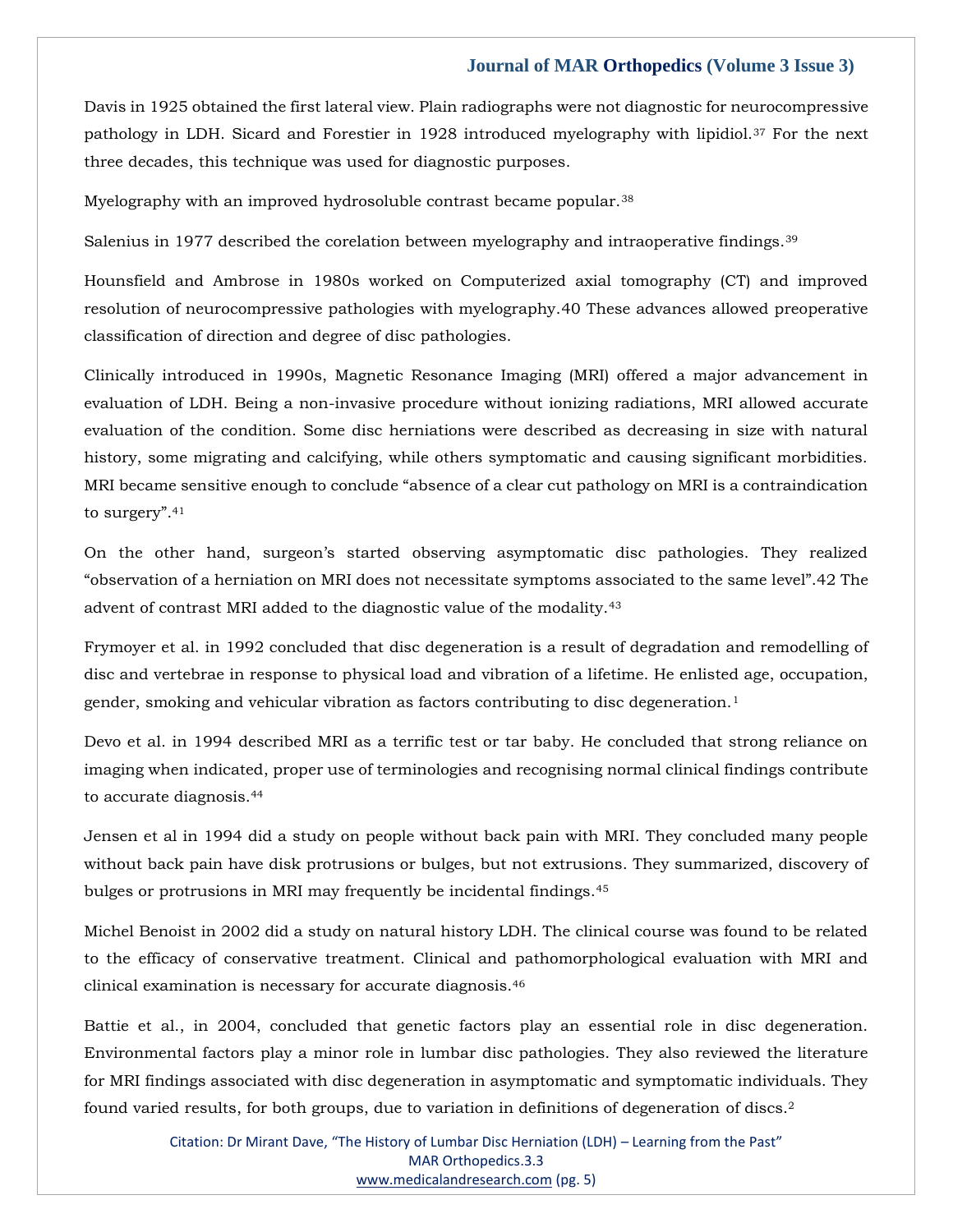Davis in 1925 obtained the first lateral view. Plain radiographs were not diagnostic for neurocompressive pathology in LDH. Sicard and Forestier in 1928 introduced myelography with lipidiol.<sup>37</sup> For the next three decades, this technique was used for diagnostic purposes.

Myelography with an improved hydrosoluble contrast became popular.<sup>38</sup>

Salenius in 1977 described the corelation between myelography and intraoperative findings.<sup>39</sup>

Hounsfield and Ambrose in 1980s worked on Computerized axial tomography (CT) and improved resolution of neurocompressive pathologies with myelography.40 These advances allowed preoperative classification of direction and degree of disc pathologies.

Clinically introduced in 1990s, Magnetic Resonance Imaging (MRI) offered a major advancement in evaluation of LDH. Being a non-invasive procedure without ionizing radiations, MRI allowed accurate evaluation of the condition. Some disc herniations were described as decreasing in size with natural history, some migrating and calcifying, while others symptomatic and causing significant morbidities. MRI became sensitive enough to conclude "absence of a clear cut pathology on MRI is a contraindication to surgery".<sup>41</sup>

On the other hand, surgeon's started observing asymptomatic disc pathologies. They realized "observation of a herniation on MRI does not necessitate symptoms associated to the same level".42 The advent of contrast MRI added to the diagnostic value of the modality.<sup>43</sup>

Frymoyer et al. in 1992 concluded that disc degeneration is a result of degradation and remodelling of disc and vertebrae in response to physical load and vibration of a lifetime. He enlisted age, occupation, gender, smoking and vehicular vibration as factors contributing to disc degeneration.<sup>1</sup>

Devo et al. in 1994 described MRI as a terrific test or tar baby. He concluded that strong reliance on imaging when indicated, proper use of terminologies and recognising normal clinical findings contribute to accurate diagnosis.<sup>44</sup>

Jensen et al in 1994 did a study on people without back pain with MRI. They concluded many people without back pain have disk protrusions or bulges, but not extrusions. They summarized, discovery of bulges or protrusions in MRI may frequently be incidental findings.<sup>45</sup>

Michel Benoist in 2002 did a study on natural history LDH. The clinical course was found to be related to the efficacy of conservative treatment. Clinical and pathomorphological evaluation with MRI and clinical examination is necessary for accurate diagnosis.<sup>46</sup>

Battie et al., in 2004, concluded that genetic factors play an essential role in disc degeneration. Environmental factors play a minor role in lumbar disc pathologies. They also reviewed the literature for MRI findings associated with disc degeneration in asymptomatic and symptomatic individuals. They found varied results, for both groups, due to variation in definitions of degeneration of discs.2

> Citation: Dr Mirant Dave, "The History of Lumbar Disc Herniation (LDH) – Learning from the Past" MAR Orthopedics.3.3 [www.medicalandresearch.com](http://www.medicalandresearch.com/) (pg. 5)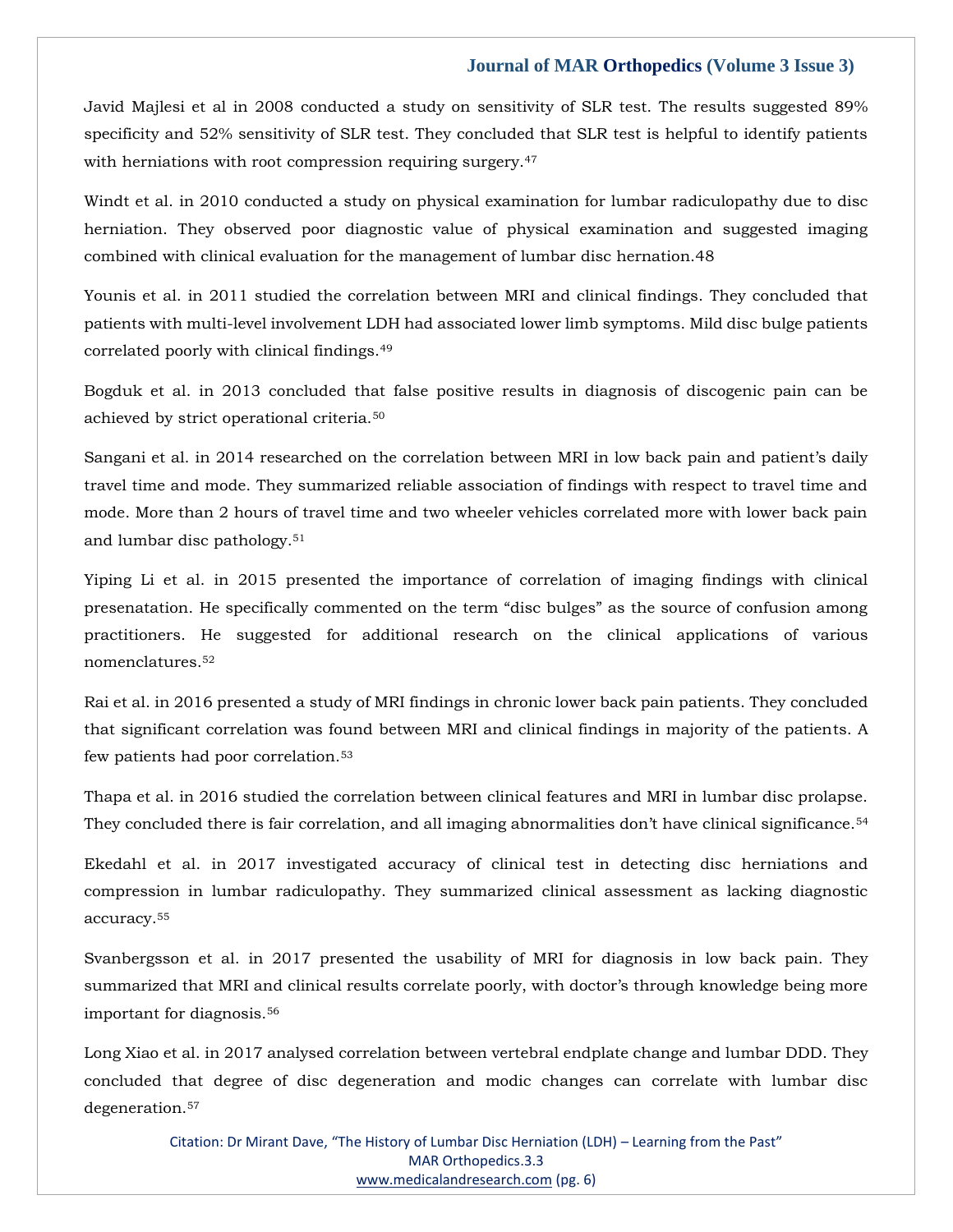Javid Majlesi et al in 2008 conducted a study on sensitivity of SLR test. The results suggested 89% specificity and 52% sensitivity of SLR test. They concluded that SLR test is helpful to identify patients with herniations with root compression requiring surgery.<sup>47</sup>

Windt et al. in 2010 conducted a study on physical examination for lumbar radiculopathy due to disc herniation. They observed poor diagnostic value of physical examination and suggested imaging combined with clinical evaluation for the management of lumbar disc hernation.48

Younis et al. in 2011 studied the correlation between MRI and clinical findings. They concluded that patients with multi-level involvement LDH had associated lower limb symptoms. Mild disc bulge patients correlated poorly with clinical findings.<sup>49</sup>

Bogduk et al. in 2013 concluded that false positive results in diagnosis of discogenic pain can be achieved by strict operational criteria.<sup>50</sup>

Sangani et al. in 2014 researched on the correlation between MRI in low back pain and patient's daily travel time and mode. They summarized reliable association of findings with respect to travel time and mode. More than 2 hours of travel time and two wheeler vehicles correlated more with lower back pain and lumbar disc pathology.<sup>51</sup>

Yiping Li et al. in 2015 presented the importance of correlation of imaging findings with clinical presenatation. He specifically commented on the term "disc bulges" as the source of confusion among practitioners. He suggested for additional research on the clinical applications of various nomenclatures.<sup>52</sup>

Rai et al. in 2016 presented a study of MRI findings in chronic lower back pain patients. They concluded that significant correlation was found between MRI and clinical findings in majority of the patients. A few patients had poor correlation.<sup>53</sup>

Thapa et al. in 2016 studied the correlation between clinical features and MRI in lumbar disc prolapse. They concluded there is fair correlation, and all imaging abnormalities don't have clinical significance.<sup>54</sup>

Ekedahl et al. in 2017 investigated accuracy of clinical test in detecting disc herniations and compression in lumbar radiculopathy. They summarized clinical assessment as lacking diagnostic accuracy.<sup>55</sup>

Svanbergsson et al. in 2017 presented the usability of MRI for diagnosis in low back pain. They summarized that MRI and clinical results correlate poorly, with doctor's through knowledge being more important for diagnosis.<sup>56</sup>

Long Xiao et al. in 2017 analysed correlation between vertebral endplate change and lumbar DDD. They concluded that degree of disc degeneration and modic changes can correlate with lumbar disc degeneration.57

> Citation: Dr Mirant Dave, "The History of Lumbar Disc Herniation (LDH) – Learning from the Past" MAR Orthopedics.3.3 [www.medicalandresearch.com](http://www.medicalandresearch.com/) (pg. 6)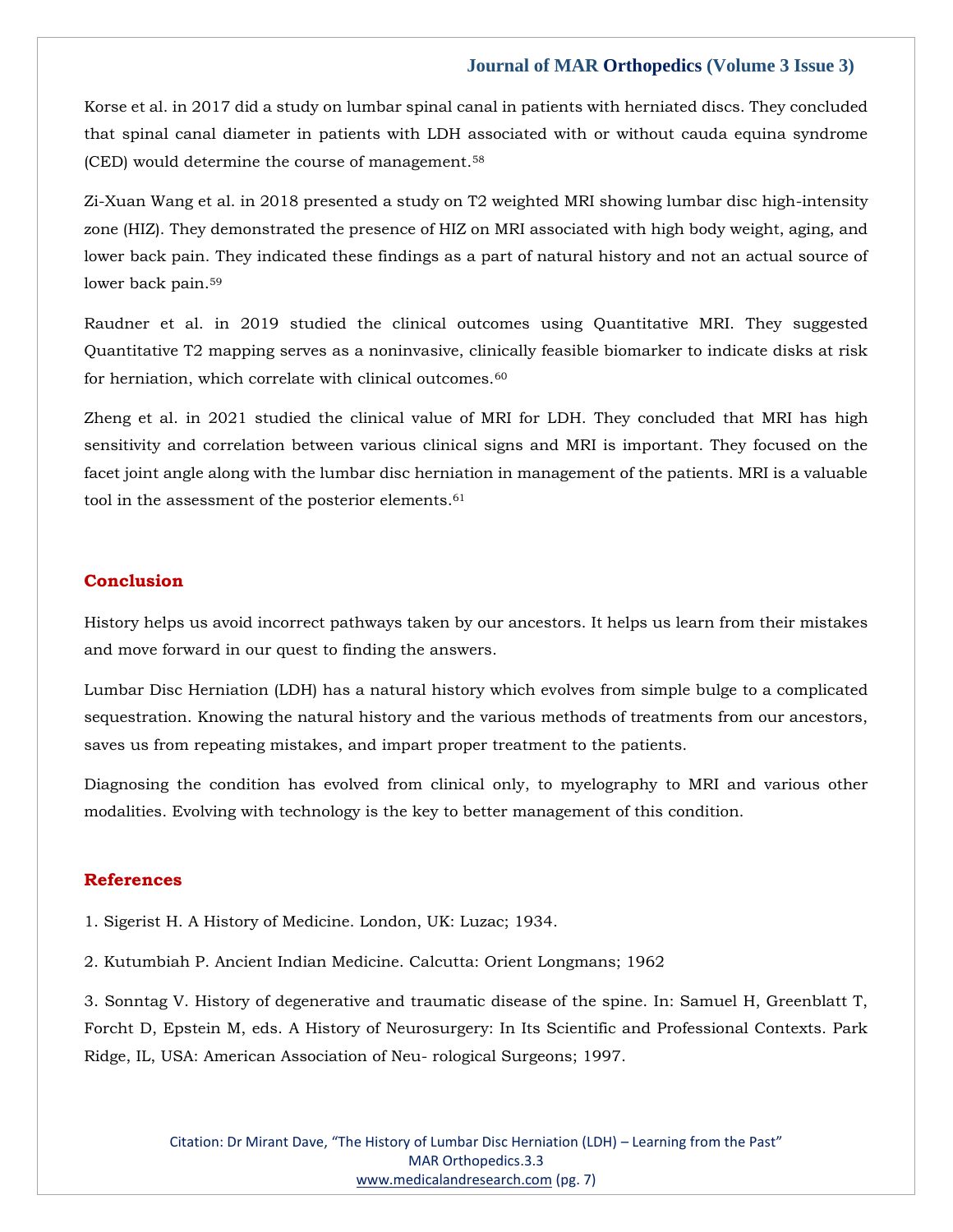Korse et al. in 2017 did a study on lumbar spinal canal in patients with herniated discs. They concluded that spinal canal diameter in patients with LDH associated with or without cauda equina syndrome (CED) would determine the course of management.<sup>58</sup>

Zi-Xuan Wang et al. in 2018 presented a study on T2 weighted MRI showing lumbar disc high-intensity zone (HIZ). They demonstrated the presence of HIZ on MRI associated with high body weight, aging, and lower back pain. They indicated these findings as a part of natural history and not an actual source of lower back pain.<sup>59</sup>

Raudner et al. in 2019 studied the clinical outcomes using Quantitative MRI. They suggested Quantitative T2 mapping serves as a noninvasive, clinically feasible biomarker to indicate disks at risk for herniation, which correlate with clinical outcomes.<sup>60</sup>

Zheng et al. in 2021 studied the clinical value of MRI for LDH. They concluded that MRI has high sensitivity and correlation between various clinical signs and MRI is important. They focused on the facet joint angle along with the lumbar disc herniation in management of the patients. MRI is a valuable tool in the assessment of the posterior elements.<sup>61</sup>

# **Conclusion**

History helps us avoid incorrect pathways taken by our ancestors. It helps us learn from their mistakes and move forward in our quest to finding the answers.

Lumbar Disc Herniation (LDH) has a natural history which evolves from simple bulge to a complicated sequestration. Knowing the natural history and the various methods of treatments from our ancestors, saves us from repeating mistakes, and impart proper treatment to the patients.

Diagnosing the condition has evolved from clinical only, to myelography to MRI and various other modalities. Evolving with technology is the key to better management of this condition.

#### **References**

1. Sigerist H. A History of Medicine. London, UK: Luzac; 1934.

2. Kutumbiah P. Ancient Indian Medicine. Calcutta: Orient Longmans; 1962

3. Sonntag V. History of degenerative and traumatic disease of the spine. In: Samuel H, Greenblatt T, Forcht D, Epstein M, eds. A History of Neurosurgery: In Its Scientific and Professional Contexts. Park Ridge, IL, USA: American Association of Neu- rological Surgeons; 1997.

> Citation: Dr Mirant Dave, "The History of Lumbar Disc Herniation (LDH) – Learning from the Past" MAR Orthopedics.3.3 [www.medicalandresearch.com](http://www.medicalandresearch.com/) (pg. 7)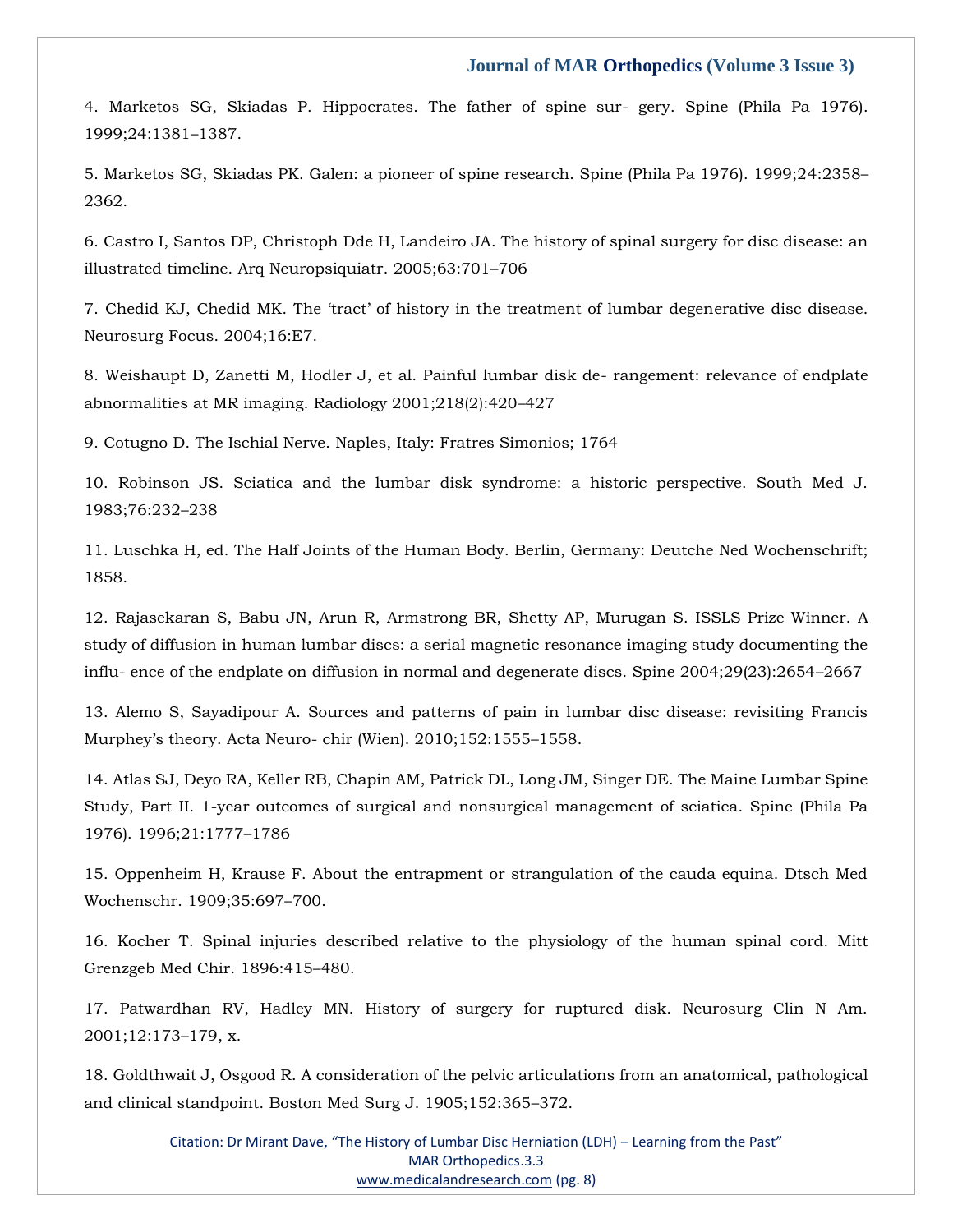4. Marketos SG, Skiadas P. Hippocrates. The father of spine sur- gery. Spine (Phila Pa 1976). 1999;24:1381–1387.

5. Marketos SG, Skiadas PK. Galen: a pioneer of spine research. Spine (Phila Pa 1976). 1999;24:2358– 2362.

6. Castro I, Santos DP, Christoph Dde H, Landeiro JA. The history of spinal surgery for disc disease: an illustrated timeline. Arq Neuropsiquiatr. 2005;63:701–706

7. Chedid KJ, Chedid MK. The 'tract' of history in the treatment of lumbar degenerative disc disease. Neurosurg Focus. 2004;16:E7.

8. Weishaupt D, Zanetti M, Hodler J, et al. Painful lumbar disk de- rangement: relevance of endplate abnormalities at MR imaging. Radiology 2001;218(2):420–427

9. Cotugno D. The Ischial Nerve. Naples, Italy: Fratres Simonios; 1764

10. Robinson JS. Sciatica and the lumbar disk syndrome: a historic perspective. South Med J. 1983;76:232–238

11. Luschka H, ed. The Half Joints of the Human Body. Berlin, Germany: Deutche Ned Wochenschrift; 1858.

12. Rajasekaran S, Babu JN, Arun R, Armstrong BR, Shetty AP, Murugan S. ISSLS Prize Winner. A study of diffusion in human lumbar discs: a serial magnetic resonance imaging study documenting the influ- ence of the endplate on diffusion in normal and degenerate discs. Spine 2004;29(23):2654–2667

13. Alemo S, Sayadipour A. Sources and patterns of pain in lumbar disc disease: revisiting Francis Murphey's theory. Acta Neuro- chir (Wien). 2010;152:1555–1558.

14. Atlas SJ, Deyo RA, Keller RB, Chapin AM, Patrick DL, Long JM, Singer DE. The Maine Lumbar Spine Study, Part II. 1-year outcomes of surgical and nonsurgical management of sciatica. Spine (Phila Pa 1976). 1996;21:1777–1786

15. Oppenheim H, Krause F. About the entrapment or strangulation of the cauda equina. Dtsch Med Wochenschr. 1909;35:697–700.

16. Kocher T. Spinal injuries described relative to the physiology of the human spinal cord. Mitt Grenzgeb Med Chir. 1896:415–480.

17. Patwardhan RV, Hadley MN. History of surgery for ruptured disk. Neurosurg Clin N Am. 2001;12:173–179, x.

18. Goldthwait J, Osgood R. A consideration of the pelvic articulations from an anatomical, pathological and clinical standpoint. Boston Med Surg J. 1905;152:365–372.

> Citation: Dr Mirant Dave, "The History of Lumbar Disc Herniation (LDH) – Learning from the Past" MAR Orthopedics.3.3 [www.medicalandresearch.com](http://www.medicalandresearch.com/) (pg. 8)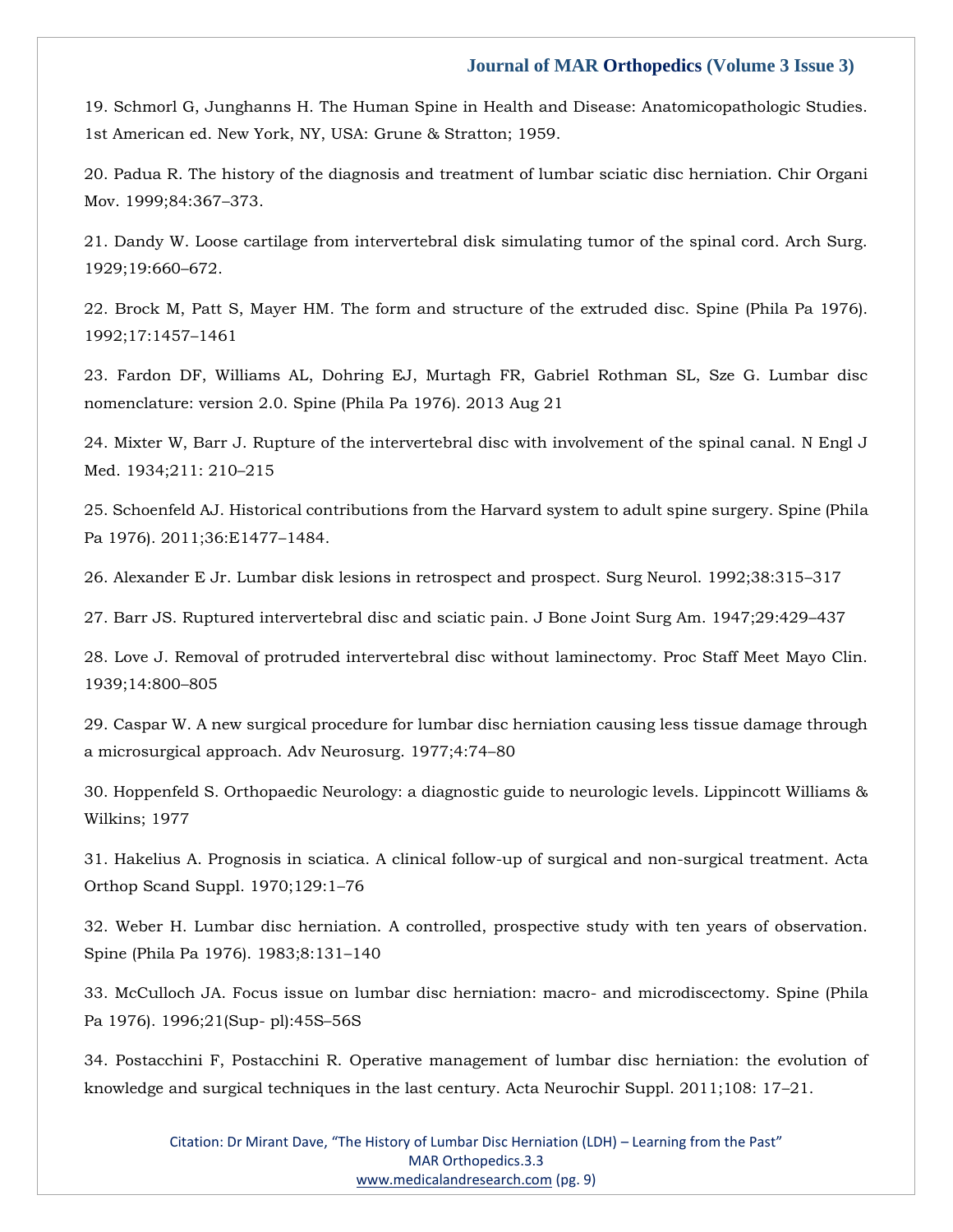19. Schmorl G, Junghanns H. The Human Spine in Health and Disease: Anatomicopathologic Studies. 1st American ed. New York, NY, USA: Grune & Stratton; 1959.

20. Padua R. The history of the diagnosis and treatment of lumbar sciatic disc herniation. Chir Organi Mov. 1999;84:367–373.

21. Dandy W. Loose cartilage from intervertebral disk simulating tumor of the spinal cord. Arch Surg. 1929;19:660–672.

22. Brock M, Patt S, Mayer HM. The form and structure of the extruded disc. Spine (Phila Pa 1976). 1992;17:1457–1461

23. Fardon DF, Williams AL, Dohring EJ, Murtagh FR, Gabriel Rothman SL, Sze G. Lumbar disc nomenclature: version 2.0. Spine (Phila Pa 1976). 2013 Aug 21

24. Mixter W, Barr J. Rupture of the intervertebral disc with involvement of the spinal canal. N Engl J Med. 1934;211: 210–215

25. Schoenfeld AJ. Historical contributions from the Harvard system to adult spine surgery. Spine (Phila Pa 1976). 2011;36:E1477–1484.

26. Alexander E Jr. Lumbar disk lesions in retrospect and prospect. Surg Neurol. 1992;38:315–317

27. Barr JS. Ruptured intervertebral disc and sciatic pain. J Bone Joint Surg Am. 1947;29:429–437

28. Love J. Removal of protruded intervertebral disc without laminectomy. Proc Staff Meet Mayo Clin. 1939;14:800–805

29. Caspar W. A new surgical procedure for lumbar disc herniation causing less tissue damage through a microsurgical approach. Adv Neurosurg. 1977;4:74–80

30. Hoppenfeld S. Orthopaedic Neurology: a diagnostic guide to neurologic levels. Lippincott Williams & Wilkins; 1977

31. Hakelius A. Prognosis in sciatica. A clinical follow-up of surgical and non-surgical treatment. Acta Orthop Scand Suppl. 1970;129:1–76

32. Weber H. Lumbar disc herniation. A controlled, prospective study with ten years of observation. Spine (Phila Pa 1976). 1983;8:131–140

33. McCulloch JA. Focus issue on lumbar disc herniation: macro- and microdiscectomy. Spine (Phila Pa 1976). 1996;21(Sup- pl):45S–56S

34. Postacchini F, Postacchini R. Operative management of lumbar disc herniation: the evolution of knowledge and surgical techniques in the last century. Acta Neurochir Suppl. 2011;108: 17–21.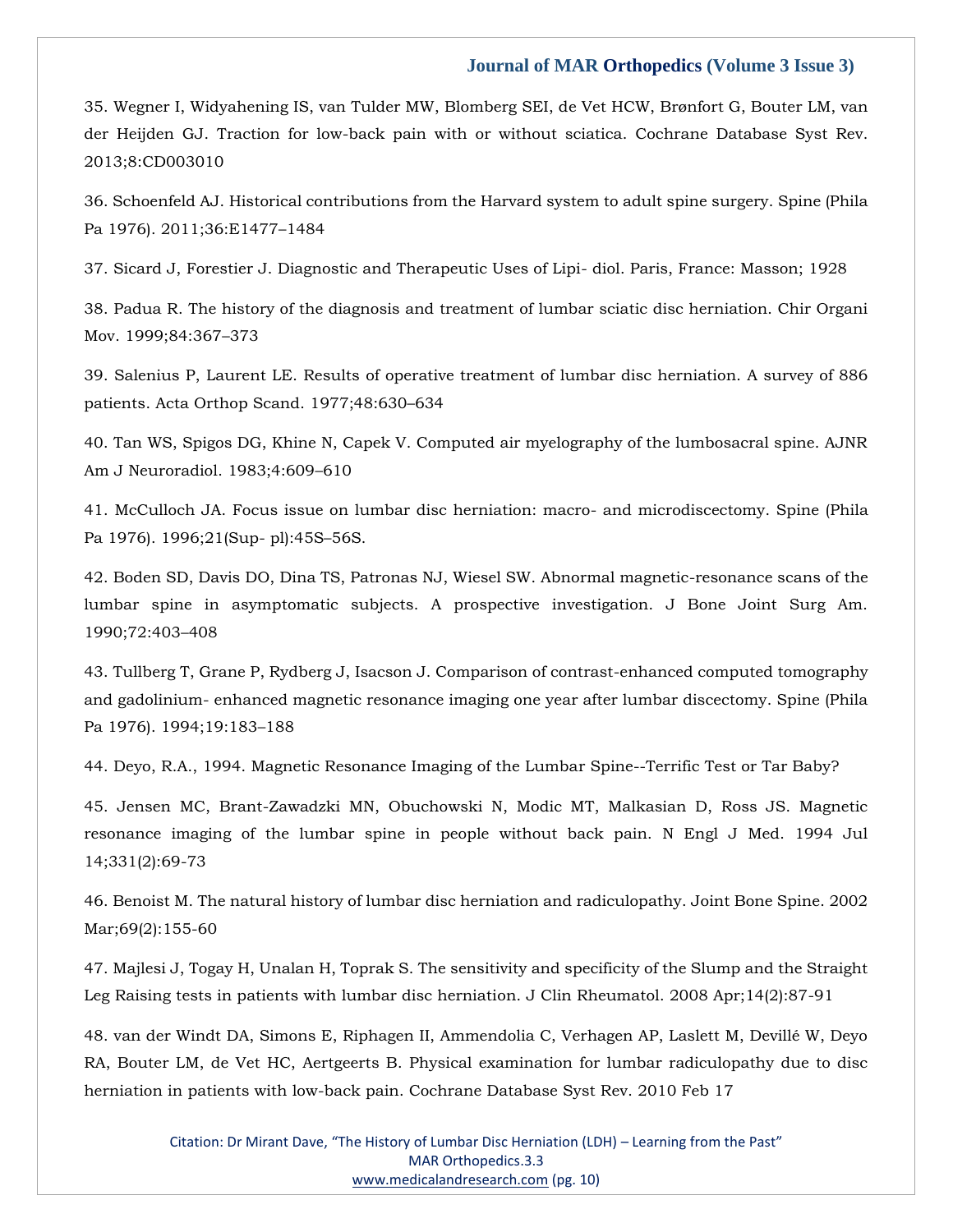35. Wegner I, Widyahening IS, van Tulder MW, Blomberg SEI, de Vet HCW, Brønfort G, Bouter LM, van der Heijden GJ. Traction for low-back pain with or without sciatica. Cochrane Database Syst Rev. 2013;8:CD003010

36. Schoenfeld AJ. Historical contributions from the Harvard system to adult spine surgery. Spine (Phila Pa 1976). 2011;36:E1477–1484

37. Sicard J, Forestier J. Diagnostic and Therapeutic Uses of Lipi- diol. Paris, France: Masson; 1928

38. Padua R. The history of the diagnosis and treatment of lumbar sciatic disc herniation. Chir Organi Mov. 1999;84:367–373

39. Salenius P, Laurent LE. Results of operative treatment of lumbar disc herniation. A survey of 886 patients. Acta Orthop Scand. 1977;48:630–634

40. Tan WS, Spigos DG, Khine N, Capek V. Computed air myelography of the lumbosacral spine. AJNR Am J Neuroradiol. 1983;4:609–610

41. McCulloch JA. Focus issue on lumbar disc herniation: macro- and microdiscectomy. Spine (Phila Pa 1976). 1996;21(Sup- pl):45S–56S.

42. Boden SD, Davis DO, Dina TS, Patronas NJ, Wiesel SW. Abnormal magnetic-resonance scans of the lumbar spine in asymptomatic subjects. A prospective investigation. J Bone Joint Surg Am. 1990;72:403–408

43. Tullberg T, Grane P, Rydberg J, Isacson J. Comparison of contrast-enhanced computed tomography and gadolinium- enhanced magnetic resonance imaging one year after lumbar discectomy. Spine (Phila Pa 1976). 1994;19:183–188

44. Deyo, R.A., 1994. Magnetic Resonance Imaging of the Lumbar Spine--Terrific Test or Tar Baby?

45. Jensen MC, Brant-Zawadzki MN, Obuchowski N, Modic MT, Malkasian D, Ross JS. Magnetic resonance imaging of the lumbar spine in people without back pain. N Engl J Med. 1994 Jul 14;331(2):69-73

46. Benoist M. The natural history of lumbar disc herniation and radiculopathy. Joint Bone Spine. 2002 Mar;69(2):155-60

47. Majlesi J, Togay H, Unalan H, Toprak S. The sensitivity and specificity of the Slump and the Straight Leg Raising tests in patients with lumbar disc herniation. J Clin Rheumatol. 2008 Apr;14(2):87-91

48. van der Windt DA, Simons E, Riphagen II, Ammendolia C, Verhagen AP, Laslett M, Devillé W, Deyo RA, Bouter LM, de Vet HC, Aertgeerts B. Physical examination for lumbar radiculopathy due to disc herniation in patients with low-back pain. Cochrane Database Syst Rev. 2010 Feb 17

> Citation: Dr Mirant Dave, "The History of Lumbar Disc Herniation (LDH) – Learning from the Past" MAR Orthopedics.3.3 [www.medicalandresearch.com](http://www.medicalandresearch.com/) (pg. 10)